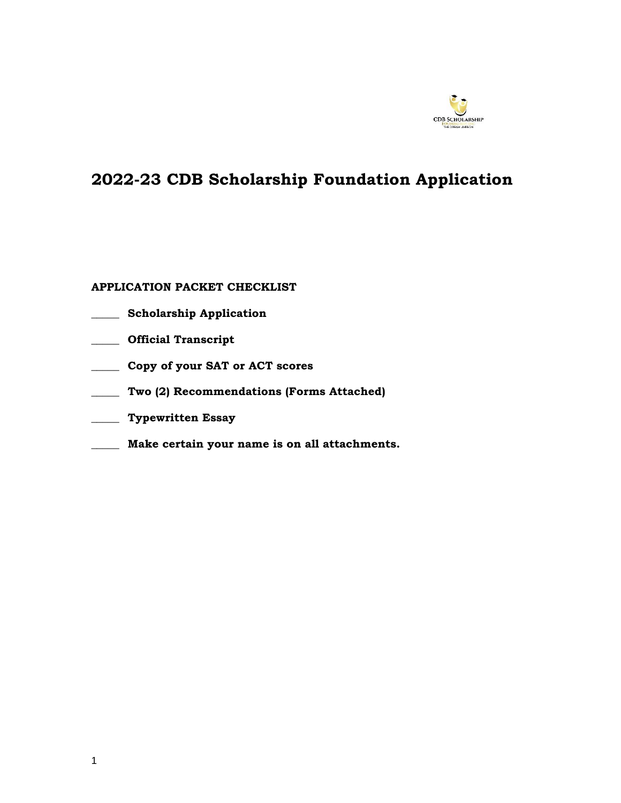

# **2022-23 CDB Scholarship Foundation Application**

# **APPLICATION PACKET CHECKLIST**

- **\_\_\_\_\_ Scholarship Application**
- **\_\_\_\_\_ Official Transcript**
- **\_\_\_\_\_ Copy of your SAT or ACT scores**
- **\_\_\_\_\_ Two (2) Recommendations (Forms Attached)**
- **\_\_\_\_\_ Typewritten Essay**
- **\_\_\_\_\_ Make certain your name is on all attachments.**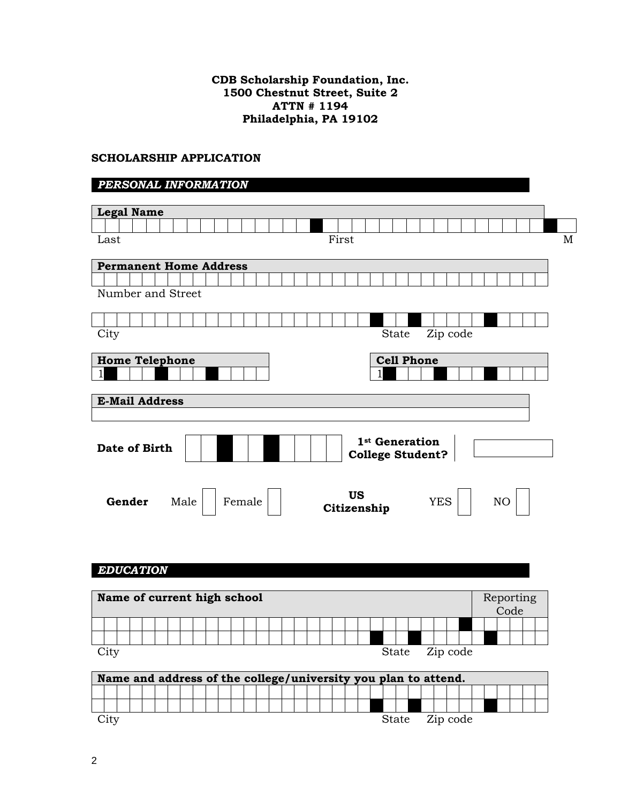# **CDB Scholarship Foundation, Inc. 1500 Chestnut Street, Suite 2 ATTN # 1194 Philadelphia, PA 19102**

# **SCHOLARSHIP APPLICATION**

# *PERSONAL INFORMATION*

| <b>Legal Name</b>                                              |
|----------------------------------------------------------------|
|                                                                |
| First<br>$\mathbf M$<br>Last                                   |
|                                                                |
| <b>Permanent Home Address</b>                                  |
|                                                                |
| Number and Street                                              |
|                                                                |
|                                                                |
| City<br>Zip code<br>State                                      |
|                                                                |
| <b>Cell Phone</b><br><b>Home Telephone</b>                     |
| 1                                                              |
|                                                                |
| <b>E-Mail Address</b>                                          |
|                                                                |
|                                                                |
| 1 <sup>st</sup> Generation                                     |
| Date of Birth                                                  |
| <b>College Student?</b>                                        |
|                                                                |
|                                                                |
| <b>US</b><br>Gender<br>Female<br><b>YES</b><br>Male<br>NO      |
| Citizenship                                                    |
|                                                                |
|                                                                |
|                                                                |
|                                                                |
| <b>EDUCATION</b>                                               |
|                                                                |
| Name of current high school<br>Reporting                       |
| Code                                                           |
|                                                                |
|                                                                |
| City<br>Zip code<br><b>State</b>                               |
|                                                                |
| Name and address of the college/university you plan to attend. |
|                                                                |

City State Zip code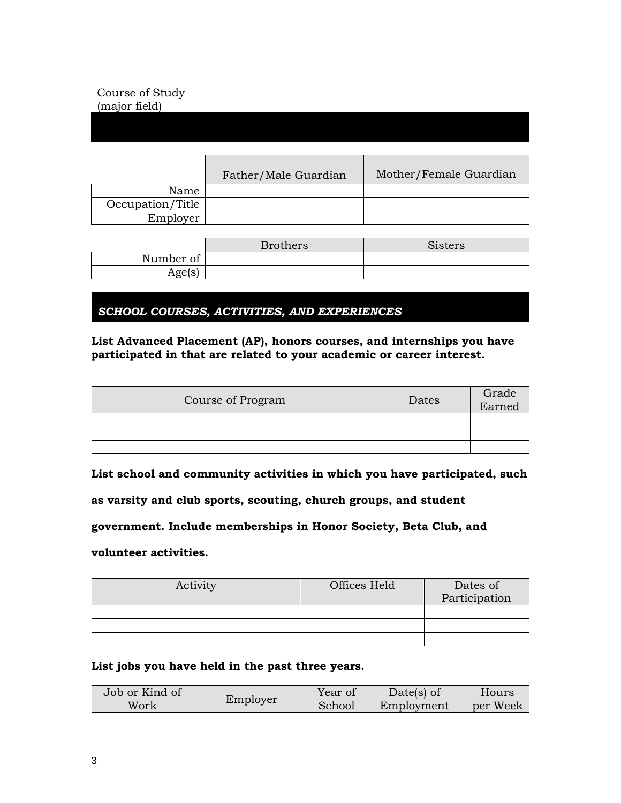# Course of Study (major field)

|                  | Father/Male Guardian | Mother/Female Guardian |
|------------------|----------------------|------------------------|
| Name             |                      |                        |
| Occupation/Title |                      |                        |
| Employer         |                      |                        |

|                   | <b>Brothers</b> | <b>Sisters</b> |
|-------------------|-----------------|----------------|
| Number of         |                 |                |
| ഷം<br>ּ יפּןסאַ י |                 |                |

*SCHOOL COURSES, ACTIVITIES, AND EXPERIENCES*

# **List Advanced Placement (AP), honors courses, and internships you have participated in that are related to your academic or career interest.**

| Course of Program | Dates | Grade<br>Earned |
|-------------------|-------|-----------------|
|                   |       |                 |
|                   |       |                 |
|                   |       |                 |

**List school and community activities in which you have participated, such** 

**as varsity and club sports, scouting, church groups, and student** 

**government. Include memberships in Honor Society, Beta Club, and** 

**volunteer activities.**

| Activity | Offices Held | Dates of<br>Participation |
|----------|--------------|---------------------------|
|          |              |                           |
|          |              |                           |
|          |              |                           |

#### **List jobs you have held in the past three years.**

| Job or Kind of | Employer | Year of | Date(s) of | Hours    |
|----------------|----------|---------|------------|----------|
| Work           |          | School  | Employment | per Week |
|                |          |         |            |          |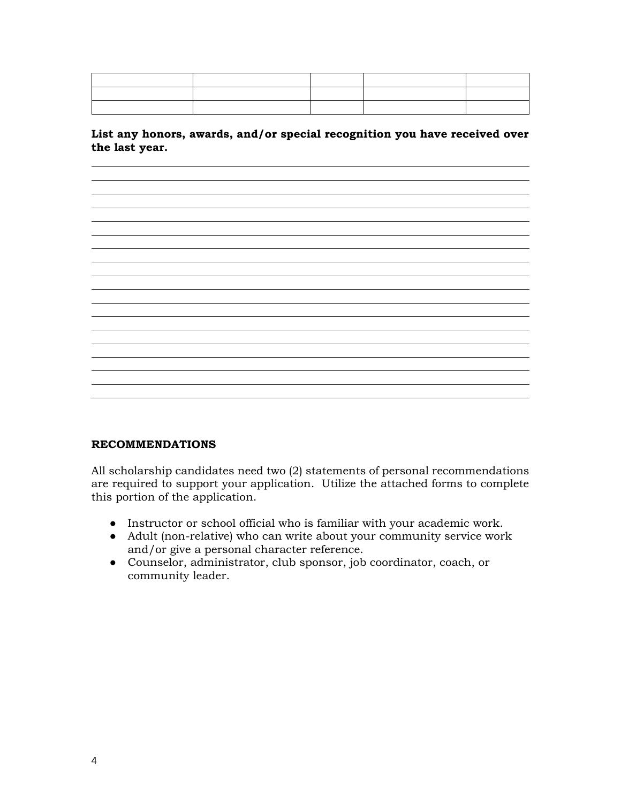**List any honors, awards, and/or special recognition you have received over the last year.**

<u> 1989 - Johann Stoff, deutscher Stoffen und der Stoffen und der Stoffen und der Stoffen und der Stoffen und der</u>

#### **RECOMMENDATIONS**

All scholarship candidates need two (2) statements of personal recommendations are required to support your application. Utilize the attached forms to complete this portion of the application.

- Instructor or school official who is familiar with your academic work.
- Adult (non-relative) who can write about your community service work and/or give a personal character reference.
- Counselor, administrator, club sponsor, job coordinator, coach, or community leader.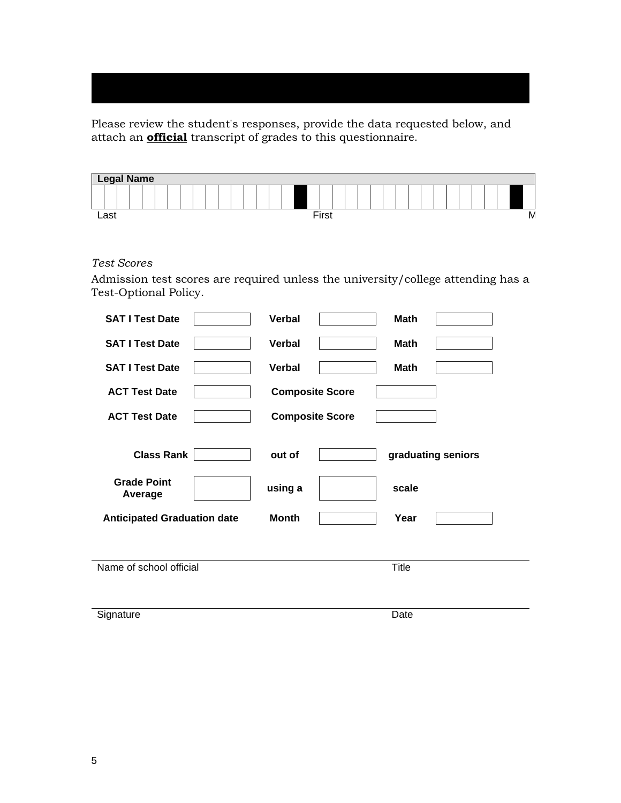Please review the student's responses, provide the data requested below, and attach an **official** transcript of grades to this questionnaire.

| <b>Legal Name</b> |  |  |  |  |  |  |  |  |       |  |  |  |  |  |  |  |   |
|-------------------|--|--|--|--|--|--|--|--|-------|--|--|--|--|--|--|--|---|
|                   |  |  |  |  |  |  |  |  |       |  |  |  |  |  |  |  |   |
| Last              |  |  |  |  |  |  |  |  | First |  |  |  |  |  |  |  | M |

*Test Scores*

Admission test scores are required unless the university/college attending has a Test-Optional Policy.

| <b>SAT I Test Date</b>             | <b>Verbal</b>          | <b>Math</b>  |                    |
|------------------------------------|------------------------|--------------|--------------------|
| <b>SAT I Test Date</b>             | <b>Verbal</b>          | <b>Math</b>  |                    |
| <b>SAT I Test Date</b>             | <b>Verbal</b>          | <b>Math</b>  |                    |
| <b>ACT Test Date</b>               | <b>Composite Score</b> |              |                    |
| <b>ACT Test Date</b>               | <b>Composite Score</b> |              |                    |
| <b>Class Rank</b>                  | out of                 |              | graduating seniors |
| <b>Grade Point</b><br>Average      | using a                | scale        |                    |
| <b>Anticipated Graduation date</b> | <b>Month</b>           | Year         |                    |
|                                    |                        |              |                    |
| Name of school official            |                        | <b>Title</b> |                    |
|                                    |                        |              |                    |
| Signature                          |                        | Date         |                    |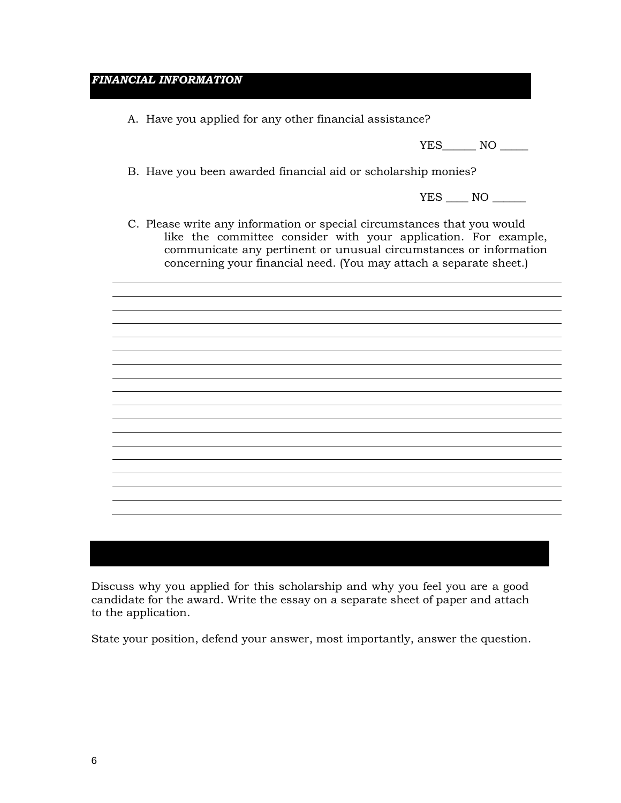# *FINANCIAL INFORMATION*

A. Have you applied for any other financial assistance?

YES\_\_\_\_\_\_\_\_ NO \_\_\_\_\_\_\_

B. Have you been awarded financial aid or scholarship monies?

YES \_\_\_\_ NO \_\_\_\_\_

C. Please write any information or special circumstances that you would like the committee consider with your application. For example, communicate any pertinent or unusual circumstances or information concerning your financial need. (You may attach a separate sheet.)

Discuss why you applied for this scholarship and why you feel you are a good candidate for the award. Write the essay on a separate sheet of paper and attach to the application.

State your position, defend your answer, most importantly, answer the question.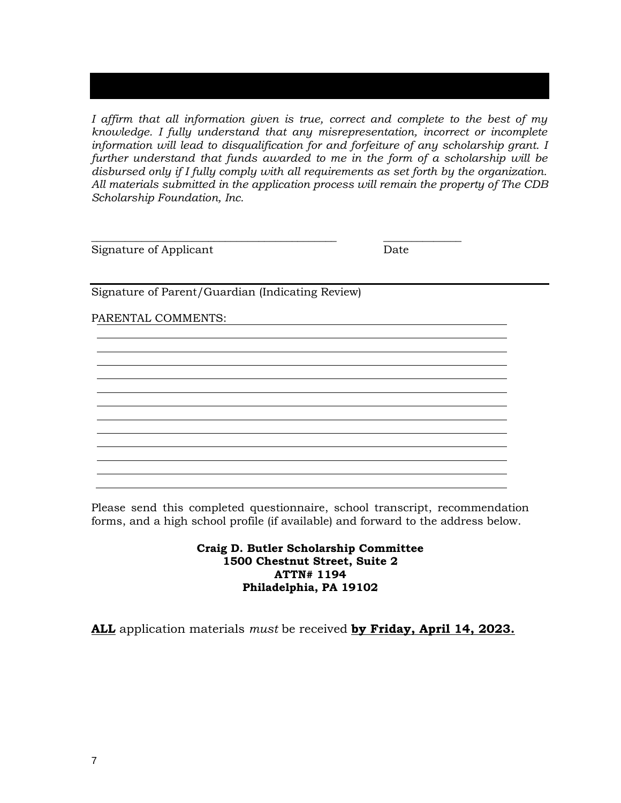*I affirm that all information given is true, correct and complete to the best of my knowledge. I fully understand that any misrepresentation, incorrect or incomplete information will lead to disqualification for and forfeiture of any scholarship grant. I further understand that funds awarded to me in the form of a scholarship will be disbursed only if I fully comply with all requirements as set forth by the organization. All materials submitted in the application process will remain the property of The CDB Scholarship Foundation, Inc.* 

**\_\_\_\_\_\_\_\_\_\_\_\_\_\_\_\_\_\_\_\_\_\_\_\_\_\_\_\_\_\_\_\_\_\_\_\_\_\_\_\_\_\_\_\_ \_\_\_\_\_\_\_\_\_\_\_\_\_\_**

Signature of Applicant Date

Signature of Parent/Guardian (Indicating Review)

PARENTAL COMMENTS:

Please send this completed questionnaire, school transcript, recommendation forms, and a high school profile (if available) and forward to the address below.

> **Craig D. Butler Scholarship Committee 1500 Chestnut Street, Suite 2 ATTN# 1194 Philadelphia, PA 19102**

**ALL** application materials *must* be received **by Friday, April 14, 2023.**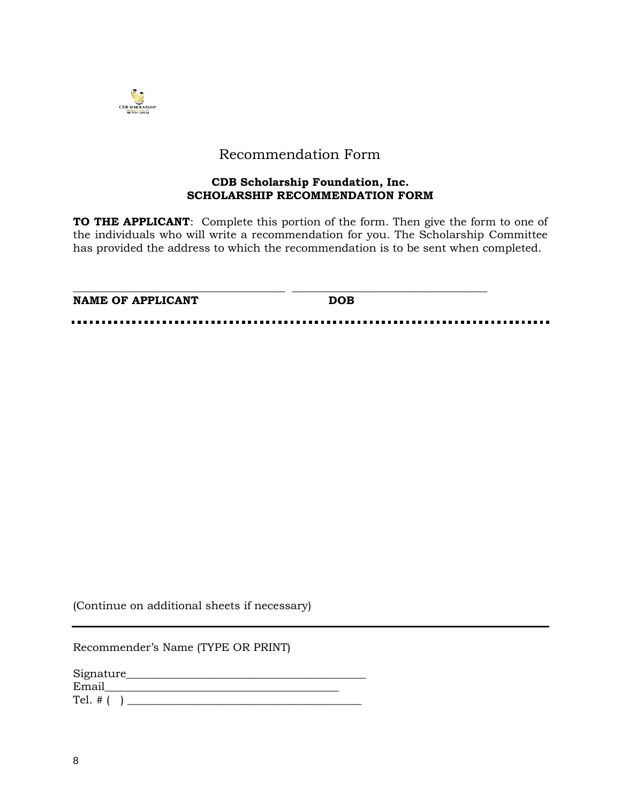

# Recommendation Form

### **CDB Scholarship Foundation, Inc. SCHOLARSHIP RECOMMENDATION FORM**

**TO THE APPLICANT**: Complete this portion of the form. Then give the form to one of the individuals who will write a recommendation for you. The Scholarship Committee has provided the address to which the recommendation is to be sent when completed.

| <b>NAME OF APPLICANT</b> | <b>DOB</b> |  |
|--------------------------|------------|--|
|                          |            |  |

(Continue on additional sheets if necessary)

Recommender's Name (TYPE OR PRINT)

| Signature_ |  |
|------------|--|
| Email      |  |
| Tel. $#$ ( |  |